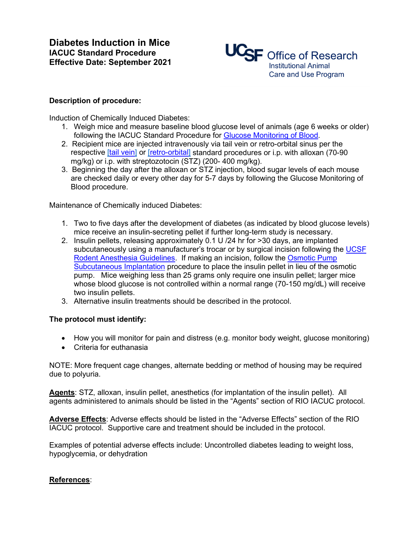

## **Description of procedure:**

Induction of Chemically Induced Diabetes:

- 1. Weigh mice and measure baseline blood glucose level of animals (age 6 weeks or older) following the IACUC Standard Procedure for Glucose Monitoring of Blood.
- 2. Recipient mice are injected intravenously via tail vein or retro-orbital sinus per the respective [tail vein] or [retro-orbital] standard procedures or i.p. with alloxan (70-90 mg/kg) or i.p. with streptozotocin (STZ) (200- 400 mg/kg).
- 3. Beginning the day after the alloxan or STZ injection, blood sugar levels of each mouse are checked daily or every other day for 5-7 days by following the Glucose Monitoring of Blood procedure.

Maintenance of Chemically induced Diabetes:

- 1. Two to five days after the development of diabetes (as indicated by blood glucose levels) mice receive an insulin-secreting pellet if further long-term study is necessary.
- 2. Insulin pellets, releasing approximately 0.1 U /24 hr for >30 days, are implanted subcutaneously using a manufacturer's trocar or by surgical incision following the UCSF Rodent Anesthesia Guidelines. If making an incision, follow the Osmotic Pump Subcutaneous Implantation procedure to place the insulin pellet in lieu of the osmotic pump. Mice weighing less than 25 grams only require one insulin pellet; larger mice whose blood glucose is not controlled within a normal range (70-150 mg/dL) will receive two insulin pellets.
- 3. Alternative insulin treatments should be described in the protocol.

## **The protocol must identify:**

- How you will monitor for pain and distress (e.g. monitor body weight, glucose monitoring)
- Criteria for euthanasia

NOTE: More frequent cage changes, alternate bedding or method of housing may be required due to polyuria.

**Agents**: STZ, alloxan, insulin pellet, anesthetics (for implantation of the insulin pellet). All agents administered to animals should be listed in the "Agents" section of RIO IACUC protocol.

**Adverse Effects**: Adverse effects should be listed in the "Adverse Effects" section of the RIO IACUC protocol. Supportive care and treatment should be included in the protocol.

Examples of potential adverse effects include: Uncontrolled diabetes leading to weight loss, hypoglycemia, or dehydration

## **References**: